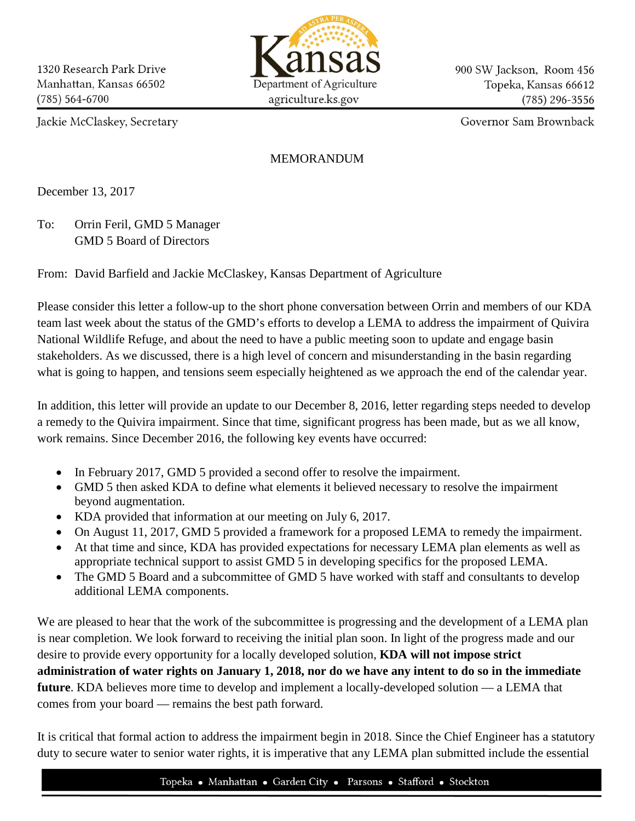

900 SW Jackson, Room 456 Topeka, Kansas 66612  $(785)$  296-3556

Jackie McClaskey, Secretary

Governor Sam Brownback

## MEMORANDUM

December 13, 2017

To: Orrin Feril, GMD 5 Manager GMD 5 Board of Directors

From: David Barfield and Jackie McClaskey, Kansas Department of Agriculture

Please consider this letter a follow-up to the short phone conversation between Orrin and members of our KDA team last week about the status of the GMD's efforts to develop a LEMA to address the impairment of Quivira National Wildlife Refuge, and about the need to have a public meeting soon to update and engage basin stakeholders. As we discussed, there is a high level of concern and misunderstanding in the basin regarding what is going to happen, and tensions seem especially heightened as we approach the end of the calendar year.

In addition, this letter will provide an update to our December 8, 2016, letter regarding steps needed to develop a remedy to the Quivira impairment. Since that time, significant progress has been made, but as we all know, work remains. Since December 2016, the following key events have occurred:

- In February 2017, GMD 5 provided a second offer to resolve the impairment.
- GMD 5 then asked KDA to define what elements it believed necessary to resolve the impairment beyond augmentation.
- KDA provided that information at our meeting on July 6, 2017.
- On August 11, 2017, GMD 5 provided a framework for a proposed LEMA to remedy the impairment.
- At that time and since, KDA has provided expectations for necessary LEMA plan elements as well as appropriate technical support to assist GMD 5 in developing specifics for the proposed LEMA.
- The GMD 5 Board and a subcommittee of GMD 5 have worked with staff and consultants to develop additional LEMA components.

We are pleased to hear that the work of the subcommittee is progressing and the development of a LEMA plan is near completion. We look forward to receiving the initial plan soon. In light of the progress made and our desire to provide every opportunity for a locally developed solution, **KDA will not impose strict administration of water rights on January 1, 2018, nor do we have any intent to do so in the immediate future**. KDA believes more time to develop and implement a locally-developed solution — a LEMA that comes from your board — remains the best path forward.

It is critical that formal action to address the impairment begin in 2018. Since the Chief Engineer has a statutory duty to secure water to senior water rights, it is imperative that any LEMA plan submitted include the essential